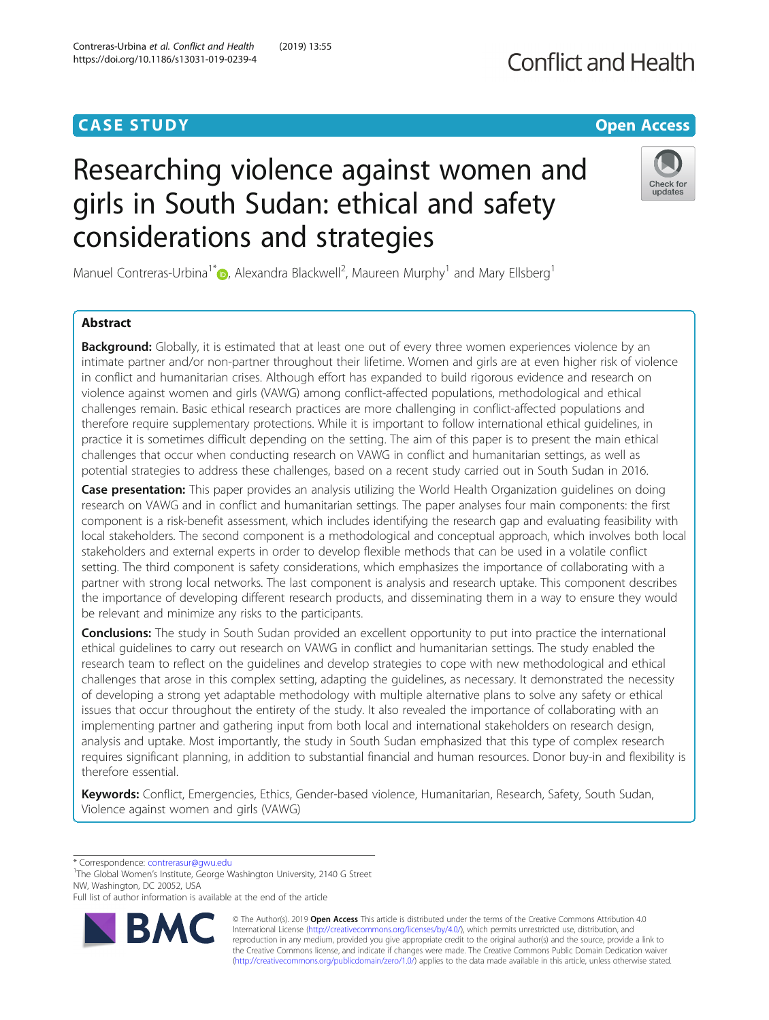# **CASE STUDY CASE STUDY Open Access**

# Researching violence against women and girls in South Sudan: ethical and safety considerations and strategies

Manuel Contreras-Urbina<sup>1\*</sup> $\textsf{D}$ [,](http://orcid.org/0000-0001-8747-0053) Alexandra Blackwell<sup>2</sup>, Maureen Murphy<sup>1</sup> and Mary Ellsberg<sup>1</sup>

# Abstract

**Background:** Globally, it is estimated that at least one out of every three women experiences violence by an intimate partner and/or non-partner throughout their lifetime. Women and girls are at even higher risk of violence in conflict and humanitarian crises. Although effort has expanded to build rigorous evidence and research on violence against women and girls (VAWG) among conflict-affected populations, methodological and ethical challenges remain. Basic ethical research practices are more challenging in conflict-affected populations and therefore require supplementary protections. While it is important to follow international ethical guidelines, in practice it is sometimes difficult depending on the setting. The aim of this paper is to present the main ethical challenges that occur when conducting research on VAWG in conflict and humanitarian settings, as well as potential strategies to address these challenges, based on a recent study carried out in South Sudan in 2016.

**Case presentation:** This paper provides an analysis utilizing the World Health Organization guidelines on doing research on VAWG and in conflict and humanitarian settings. The paper analyses four main components: the first component is a risk-benefit assessment, which includes identifying the research gap and evaluating feasibility with local stakeholders. The second component is a methodological and conceptual approach, which involves both local stakeholders and external experts in order to develop flexible methods that can be used in a volatile conflict setting. The third component is safety considerations, which emphasizes the importance of collaborating with a partner with strong local networks. The last component is analysis and research uptake. This component describes the importance of developing different research products, and disseminating them in a way to ensure they would be relevant and minimize any risks to the participants.

**Conclusions:** The study in South Sudan provided an excellent opportunity to put into practice the international ethical guidelines to carry out research on VAWG in conflict and humanitarian settings. The study enabled the research team to reflect on the guidelines and develop strategies to cope with new methodological and ethical challenges that arose in this complex setting, adapting the guidelines, as necessary. It demonstrated the necessity of developing a strong yet adaptable methodology with multiple alternative plans to solve any safety or ethical issues that occur throughout the entirety of the study. It also revealed the importance of collaborating with an implementing partner and gathering input from both local and international stakeholders on research design, analysis and uptake. Most importantly, the study in South Sudan emphasized that this type of complex research requires significant planning, in addition to substantial financial and human resources. Donor buy-in and flexibility is therefore essential.

Keywords: Conflict, Emergencies, Ethics, Gender-based violence, Humanitarian, Research, Safety, South Sudan, Violence against women and girls (VAWG)

\* Correspondence: [contrerasur@gwu.edu](mailto:contrerasur@gwu.edu) <sup>1</sup>

<sup>1</sup>The Global Women's Institute, George Washington University, 2140 G Street NW, Washington, DC 20052, USA

© The Author(s). 2019 Open Access This article is distributed under the terms of the Creative Commons Attribution 4.0 International License [\(http://creativecommons.org/licenses/by/4.0/](http://creativecommons.org/licenses/by/4.0/)), which permits unrestricted use, distribution, and reproduction in any medium, provided you give appropriate credit to the original author(s) and the source, provide a link to the Creative Commons license, and indicate if changes were made. The Creative Commons Public Domain Dedication waiver [\(http://creativecommons.org/publicdomain/zero/1.0/](http://creativecommons.org/publicdomain/zero/1.0/)) applies to the data made available in this article, unless otherwise stated.

Contreras-Urbina et al. Conflict and Health (2019) 13:55 https://doi.org/10.1186/s13031-019-0239-4





Full list of author information is available at the end of the article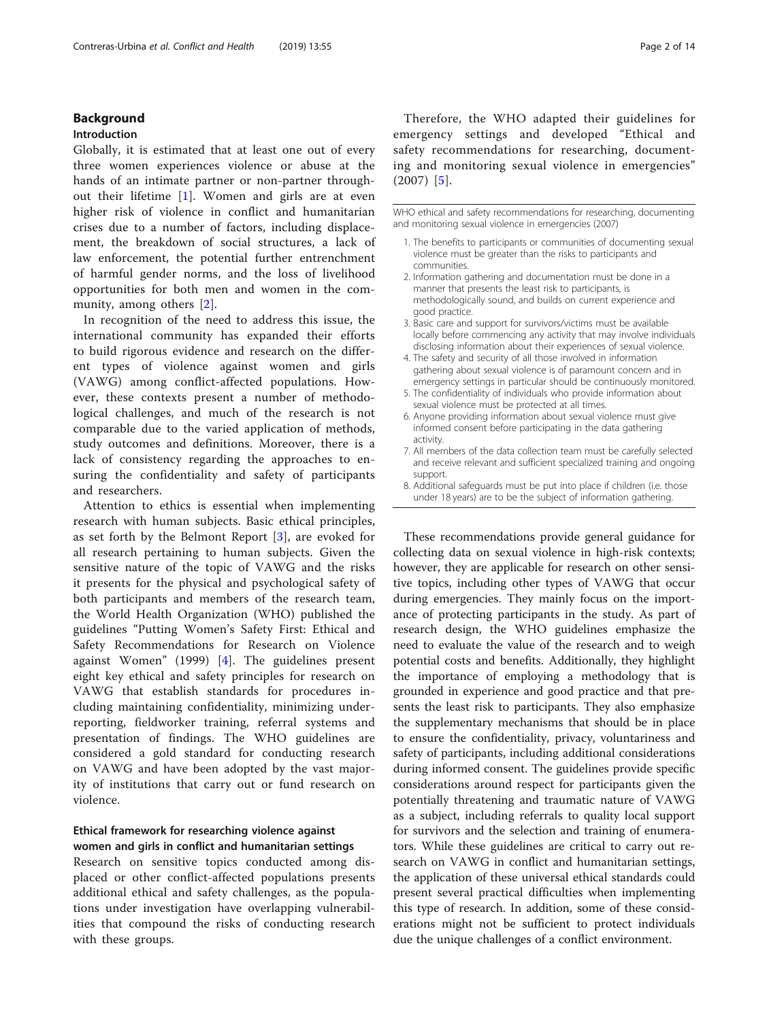# Background

# Introduction

Globally, it is estimated that at least one out of every three women experiences violence or abuse at the hands of an intimate partner or non-partner throughout their lifetime [\[1](#page-13-0)]. Women and girls are at even higher risk of violence in conflict and humanitarian crises due to a number of factors, including displacement, the breakdown of social structures, a lack of law enforcement, the potential further entrenchment of harmful gender norms, and the loss of livelihood opportunities for both men and women in the community, among others [[2\]](#page-13-0).

In recognition of the need to address this issue, the international community has expanded their efforts to build rigorous evidence and research on the different types of violence against women and girls (VAWG) among conflict-affected populations. However, these contexts present a number of methodological challenges, and much of the research is not comparable due to the varied application of methods, study outcomes and definitions. Moreover, there is a lack of consistency regarding the approaches to ensuring the confidentiality and safety of participants and researchers.

Attention to ethics is essential when implementing research with human subjects. Basic ethical principles, as set forth by the Belmont Report [[3\]](#page-13-0), are evoked for all research pertaining to human subjects. Given the sensitive nature of the topic of VAWG and the risks it presents for the physical and psychological safety of both participants and members of the research team, the World Health Organization (WHO) published the guidelines "Putting Women's Safety First: Ethical and Safety Recommendations for Research on Violence against Women" (1999) [[4\]](#page-13-0). The guidelines present eight key ethical and safety principles for research on VAWG that establish standards for procedures including maintaining confidentiality, minimizing underreporting, fieldworker training, referral systems and presentation of findings. The WHO guidelines are considered a gold standard for conducting research on VAWG and have been adopted by the vast majority of institutions that carry out or fund research on violence.

# Ethical framework for researching violence against women and girls in conflict and humanitarian settings

Research on sensitive topics conducted among displaced or other conflict-affected populations presents additional ethical and safety challenges, as the populations under investigation have overlapping vulnerabilities that compound the risks of conducting research with these groups.

Therefore, the WHO adapted their guidelines for emergency settings and developed "Ethical and safety recommendations for researching, documenting and monitoring sexual violence in emergencies"  $(2007)$  [[5\]](#page-13-0).

WHO ethical and safety recommendations for researching, documenting and monitoring sexual violence in emergencies (2007)

- 1. The benefits to participants or communities of documenting sexual violence must be greater than the risks to participants and communities.
- 2. Information gathering and documentation must be done in a manner that presents the least risk to participants, is methodologically sound, and builds on current experience and good practice.
- 3. Basic care and support for survivors/victims must be available locally before commencing any activity that may involve individuals disclosing information about their experiences of sexual violence.
- 4. The safety and security of all those involved in information gathering about sexual violence is of paramount concern and in emergency settings in particular should be continuously monitored.
- 5. The confidentiality of individuals who provide information about sexual violence must be protected at all times.
- 6. Anyone providing information about sexual violence must give informed consent before participating in the data gathering activity.
- 7. All members of the data collection team must be carefully selected and receive relevant and sufficient specialized training and ongoing support.
- 8. Additional safeguards must be put into place if children (i.e. those under 18 years) are to be the subject of information gathering.

These recommendations provide general guidance for collecting data on sexual violence in high-risk contexts; however, they are applicable for research on other sensitive topics, including other types of VAWG that occur during emergencies. They mainly focus on the importance of protecting participants in the study. As part of research design, the WHO guidelines emphasize the need to evaluate the value of the research and to weigh potential costs and benefits. Additionally, they highlight the importance of employing a methodology that is grounded in experience and good practice and that presents the least risk to participants. They also emphasize the supplementary mechanisms that should be in place to ensure the confidentiality, privacy, voluntariness and safety of participants, including additional considerations during informed consent. The guidelines provide specific considerations around respect for participants given the potentially threatening and traumatic nature of VAWG as a subject, including referrals to quality local support for survivors and the selection and training of enumerators. While these guidelines are critical to carry out research on VAWG in conflict and humanitarian settings, the application of these universal ethical standards could present several practical difficulties when implementing this type of research. In addition, some of these considerations might not be sufficient to protect individuals due the unique challenges of a conflict environment.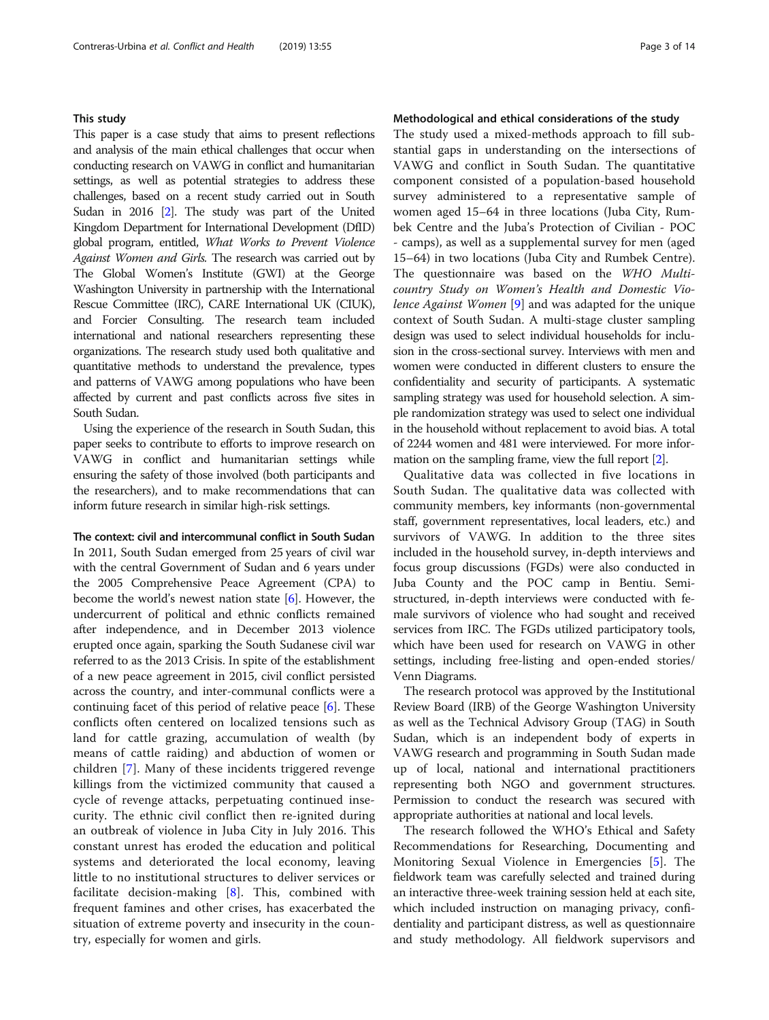# This study

This paper is a case study that aims to present reflections and analysis of the main ethical challenges that occur when conducting research on VAWG in conflict and humanitarian settings, as well as potential strategies to address these challenges, based on a recent study carried out in South Sudan in 2016 [[2](#page-13-0)]. The study was part of the United Kingdom Department for International Development (DfID) global program, entitled, What Works to Prevent Violence Against Women and Girls. The research was carried out by The Global Women's Institute (GWI) at the George Washington University in partnership with the International Rescue Committee (IRC), CARE International UK (CIUK), and Forcier Consulting. The research team included international and national researchers representing these organizations. The research study used both qualitative and quantitative methods to understand the prevalence, types and patterns of VAWG among populations who have been affected by current and past conflicts across five sites in South Sudan.

Using the experience of the research in South Sudan, this paper seeks to contribute to efforts to improve research on VAWG in conflict and humanitarian settings while ensuring the safety of those involved (both participants and the researchers), and to make recommendations that can inform future research in similar high-risk settings.

The context: civil and intercommunal conflict in South Sudan In 2011, South Sudan emerged from 25 years of civil war with the central Government of Sudan and 6 years under the 2005 Comprehensive Peace Agreement (CPA) to become the world's newest nation state  $[6]$  $[6]$ . However, the undercurrent of political and ethnic conflicts remained after independence, and in December 2013 violence erupted once again, sparking the South Sudanese civil war referred to as the 2013 Crisis. In spite of the establishment of a new peace agreement in 2015, civil conflict persisted across the country, and inter-communal conflicts were a continuing facet of this period of relative peace [\[6](#page-13-0)]. These conflicts often centered on localized tensions such as land for cattle grazing, accumulation of wealth (by means of cattle raiding) and abduction of women or children [[7\]](#page-13-0). Many of these incidents triggered revenge killings from the victimized community that caused a cycle of revenge attacks, perpetuating continued insecurity. The ethnic civil conflict then re-ignited during an outbreak of violence in Juba City in July 2016. This constant unrest has eroded the education and political systems and deteriorated the local economy, leaving little to no institutional structures to deliver services or facilitate decision-making [\[8](#page-13-0)]. This, combined with frequent famines and other crises, has exacerbated the situation of extreme poverty and insecurity in the country, especially for women and girls.

# Methodological and ethical considerations of the study

The study used a mixed-methods approach to fill substantial gaps in understanding on the intersections of VAWG and conflict in South Sudan. The quantitative component consisted of a population-based household survey administered to a representative sample of women aged 15–64 in three locations (Juba City, Rumbek Centre and the Juba's Protection of Civilian - POC - camps), as well as a supplemental survey for men (aged 15–64) in two locations (Juba City and Rumbek Centre). The questionnaire was based on the WHO Multicountry Study on Women's Health and Domestic Vio-lence Against Women [[9](#page-13-0)] and was adapted for the unique context of South Sudan. A multi-stage cluster sampling design was used to select individual households for inclusion in the cross-sectional survey. Interviews with men and women were conducted in different clusters to ensure the confidentiality and security of participants. A systematic sampling strategy was used for household selection. A simple randomization strategy was used to select one individual in the household without replacement to avoid bias. A total of 2244 women and 481 were interviewed. For more information on the sampling frame, view the full report [\[2\]](#page-13-0).

Qualitative data was collected in five locations in South Sudan. The qualitative data was collected with community members, key informants (non-governmental staff, government representatives, local leaders, etc.) and survivors of VAWG. In addition to the three sites included in the household survey, in-depth interviews and focus group discussions (FGDs) were also conducted in Juba County and the POC camp in Bentiu. Semistructured, in-depth interviews were conducted with female survivors of violence who had sought and received services from IRC. The FGDs utilized participatory tools, which have been used for research on VAWG in other settings, including free-listing and open-ended stories/ Venn Diagrams.

The research protocol was approved by the Institutional Review Board (IRB) of the George Washington University as well as the Technical Advisory Group (TAG) in South Sudan, which is an independent body of experts in VAWG research and programming in South Sudan made up of local, national and international practitioners representing both NGO and government structures. Permission to conduct the research was secured with appropriate authorities at national and local levels.

The research followed the WHO's Ethical and Safety Recommendations for Researching, Documenting and Monitoring Sexual Violence in Emergencies [\[5](#page-13-0)]. The fieldwork team was carefully selected and trained during an interactive three-week training session held at each site, which included instruction on managing privacy, confidentiality and participant distress, as well as questionnaire and study methodology. All fieldwork supervisors and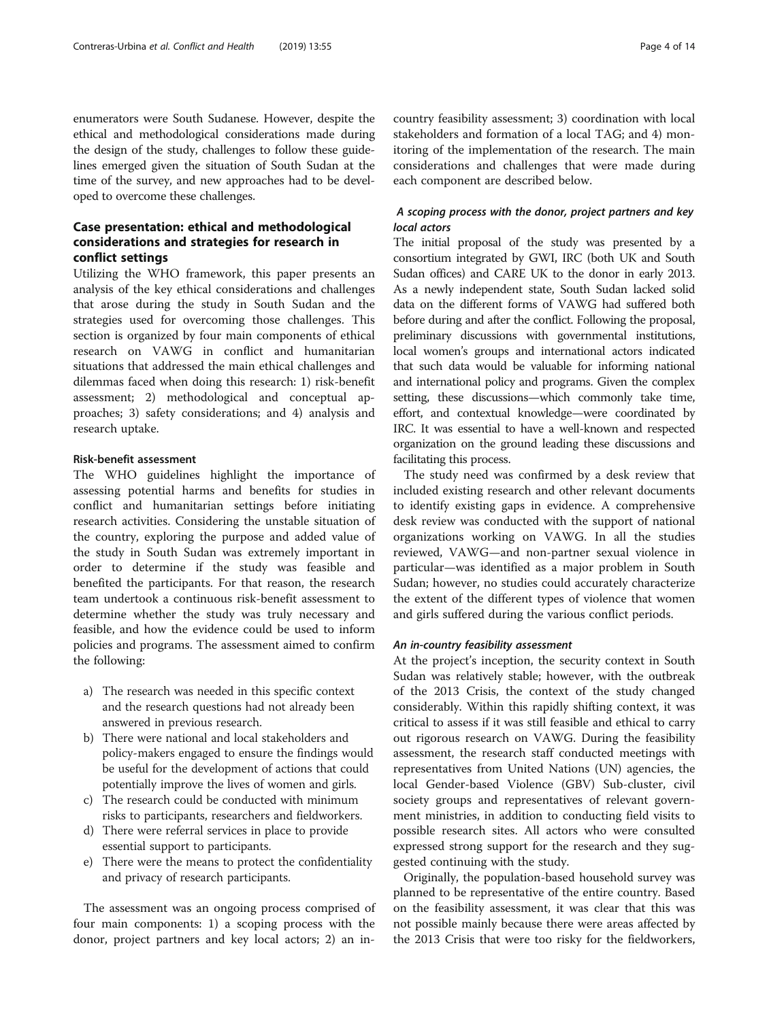enumerators were South Sudanese. However, despite the ethical and methodological considerations made during the design of the study, challenges to follow these guidelines emerged given the situation of South Sudan at the time of the survey, and new approaches had to be developed to overcome these challenges.

# Case presentation: ethical and methodological considerations and strategies for research in conflict settings

Utilizing the WHO framework, this paper presents an analysis of the key ethical considerations and challenges that arose during the study in South Sudan and the strategies used for overcoming those challenges. This section is organized by four main components of ethical research on VAWG in conflict and humanitarian situations that addressed the main ethical challenges and dilemmas faced when doing this research: 1) risk-benefit assessment; 2) methodological and conceptual approaches; 3) safety considerations; and 4) analysis and research uptake.

# Risk-benefit assessment

The WHO guidelines highlight the importance of assessing potential harms and benefits for studies in conflict and humanitarian settings before initiating research activities. Considering the unstable situation of the country, exploring the purpose and added value of the study in South Sudan was extremely important in order to determine if the study was feasible and benefited the participants. For that reason, the research team undertook a continuous risk-benefit assessment to determine whether the study was truly necessary and feasible, and how the evidence could be used to inform policies and programs. The assessment aimed to confirm the following:

- a) The research was needed in this specific context and the research questions had not already been answered in previous research.
- b) There were national and local stakeholders and policy-makers engaged to ensure the findings would be useful for the development of actions that could potentially improve the lives of women and girls.
- c) The research could be conducted with minimum risks to participants, researchers and fieldworkers.
- d) There were referral services in place to provide essential support to participants.
- e) There were the means to protect the confidentiality and privacy of research participants.

The assessment was an ongoing process comprised of four main components: 1) a scoping process with the donor, project partners and key local actors; 2) an incountry feasibility assessment; 3) coordination with local stakeholders and formation of a local TAG; and 4) monitoring of the implementation of the research. The main considerations and challenges that were made during each component are described below.

# A scoping process with the donor, project partners and key local actors

The initial proposal of the study was presented by a consortium integrated by GWI, IRC (both UK and South Sudan offices) and CARE UK to the donor in early 2013. As a newly independent state, South Sudan lacked solid data on the different forms of VAWG had suffered both before during and after the conflict. Following the proposal, preliminary discussions with governmental institutions, local women's groups and international actors indicated that such data would be valuable for informing national and international policy and programs. Given the complex setting, these discussions—which commonly take time, effort, and contextual knowledge—were coordinated by IRC. It was essential to have a well-known and respected organization on the ground leading these discussions and facilitating this process.

The study need was confirmed by a desk review that included existing research and other relevant documents to identify existing gaps in evidence. A comprehensive desk review was conducted with the support of national organizations working on VAWG. In all the studies reviewed, VAWG—and non-partner sexual violence in particular—was identified as a major problem in South Sudan; however, no studies could accurately characterize the extent of the different types of violence that women and girls suffered during the various conflict periods.

# An in-country feasibility assessment

At the project's inception, the security context in South Sudan was relatively stable; however, with the outbreak of the 2013 Crisis, the context of the study changed considerably. Within this rapidly shifting context, it was critical to assess if it was still feasible and ethical to carry out rigorous research on VAWG. During the feasibility assessment, the research staff conducted meetings with representatives from United Nations (UN) agencies, the local Gender-based Violence (GBV) Sub-cluster, civil society groups and representatives of relevant government ministries, in addition to conducting field visits to possible research sites. All actors who were consulted expressed strong support for the research and they suggested continuing with the study.

Originally, the population-based household survey was planned to be representative of the entire country. Based on the feasibility assessment, it was clear that this was not possible mainly because there were areas affected by the 2013 Crisis that were too risky for the fieldworkers,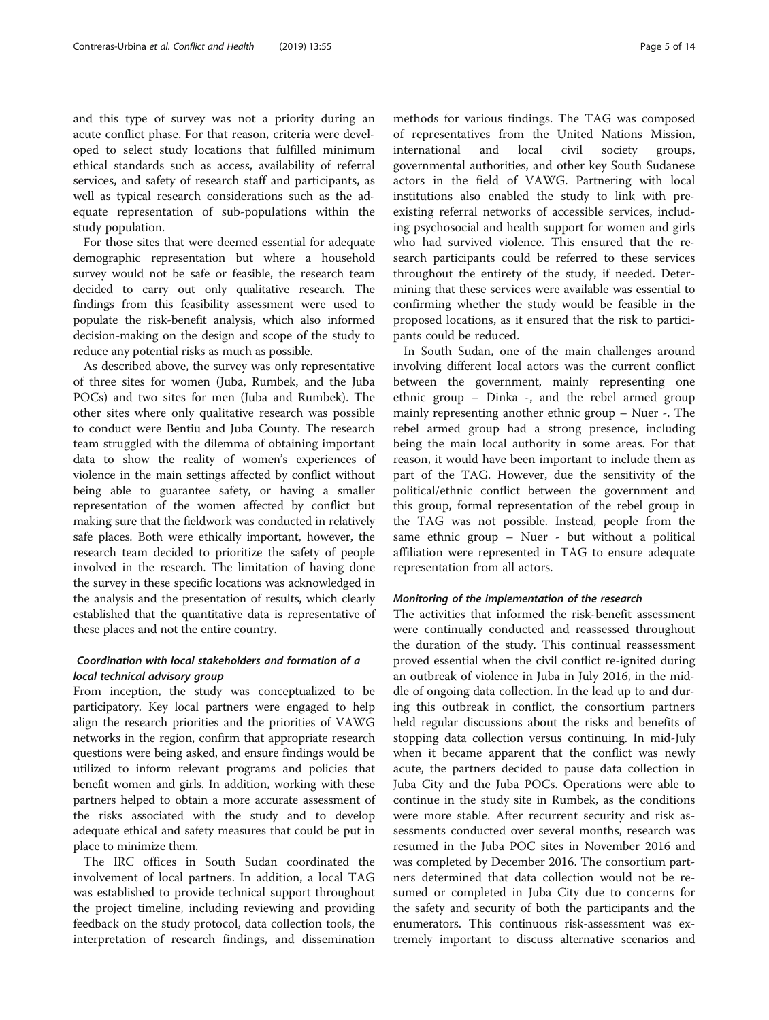and this type of survey was not a priority during an acute conflict phase. For that reason, criteria were developed to select study locations that fulfilled minimum ethical standards such as access, availability of referral services, and safety of research staff and participants, as well as typical research considerations such as the adequate representation of sub-populations within the study population.

For those sites that were deemed essential for adequate demographic representation but where a household survey would not be safe or feasible, the research team decided to carry out only qualitative research. The findings from this feasibility assessment were used to populate the risk-benefit analysis, which also informed decision-making on the design and scope of the study to reduce any potential risks as much as possible.

As described above, the survey was only representative of three sites for women (Juba, Rumbek, and the Juba POCs) and two sites for men (Juba and Rumbek). The other sites where only qualitative research was possible to conduct were Bentiu and Juba County. The research team struggled with the dilemma of obtaining important data to show the reality of women's experiences of violence in the main settings affected by conflict without being able to guarantee safety, or having a smaller representation of the women affected by conflict but making sure that the fieldwork was conducted in relatively safe places. Both were ethically important, however, the research team decided to prioritize the safety of people involved in the research. The limitation of having done the survey in these specific locations was acknowledged in the analysis and the presentation of results, which clearly established that the quantitative data is representative of these places and not the entire country.

# Coordination with local stakeholders and formation of a local technical advisory group

From inception, the study was conceptualized to be participatory. Key local partners were engaged to help align the research priorities and the priorities of VAWG networks in the region, confirm that appropriate research questions were being asked, and ensure findings would be utilized to inform relevant programs and policies that benefit women and girls. In addition, working with these partners helped to obtain a more accurate assessment of the risks associated with the study and to develop adequate ethical and safety measures that could be put in place to minimize them.

The IRC offices in South Sudan coordinated the involvement of local partners. In addition, a local TAG was established to provide technical support throughout the project timeline, including reviewing and providing feedback on the study protocol, data collection tools, the interpretation of research findings, and dissemination

methods for various findings. The TAG was composed of representatives from the United Nations Mission, international and local civil society groups, governmental authorities, and other key South Sudanese actors in the field of VAWG. Partnering with local institutions also enabled the study to link with preexisting referral networks of accessible services, including psychosocial and health support for women and girls who had survived violence. This ensured that the research participants could be referred to these services throughout the entirety of the study, if needed. Determining that these services were available was essential to confirming whether the study would be feasible in the proposed locations, as it ensured that the risk to participants could be reduced.

In South Sudan, one of the main challenges around involving different local actors was the current conflict between the government, mainly representing one ethnic group – Dinka -, and the rebel armed group mainly representing another ethnic group – Nuer -. The rebel armed group had a strong presence, including being the main local authority in some areas. For that reason, it would have been important to include them as part of the TAG. However, due the sensitivity of the political/ethnic conflict between the government and this group, formal representation of the rebel group in the TAG was not possible. Instead, people from the same ethnic group – Nuer - but without a political affiliation were represented in TAG to ensure adequate representation from all actors.

# Monitoring of the implementation of the research

The activities that informed the risk-benefit assessment were continually conducted and reassessed throughout the duration of the study. This continual reassessment proved essential when the civil conflict re-ignited during an outbreak of violence in Juba in July 2016, in the middle of ongoing data collection. In the lead up to and during this outbreak in conflict, the consortium partners held regular discussions about the risks and benefits of stopping data collection versus continuing. In mid-July when it became apparent that the conflict was newly acute, the partners decided to pause data collection in Juba City and the Juba POCs. Operations were able to continue in the study site in Rumbek, as the conditions were more stable. After recurrent security and risk assessments conducted over several months, research was resumed in the Juba POC sites in November 2016 and was completed by December 2016. The consortium partners determined that data collection would not be resumed or completed in Juba City due to concerns for the safety and security of both the participants and the enumerators. This continuous risk-assessment was extremely important to discuss alternative scenarios and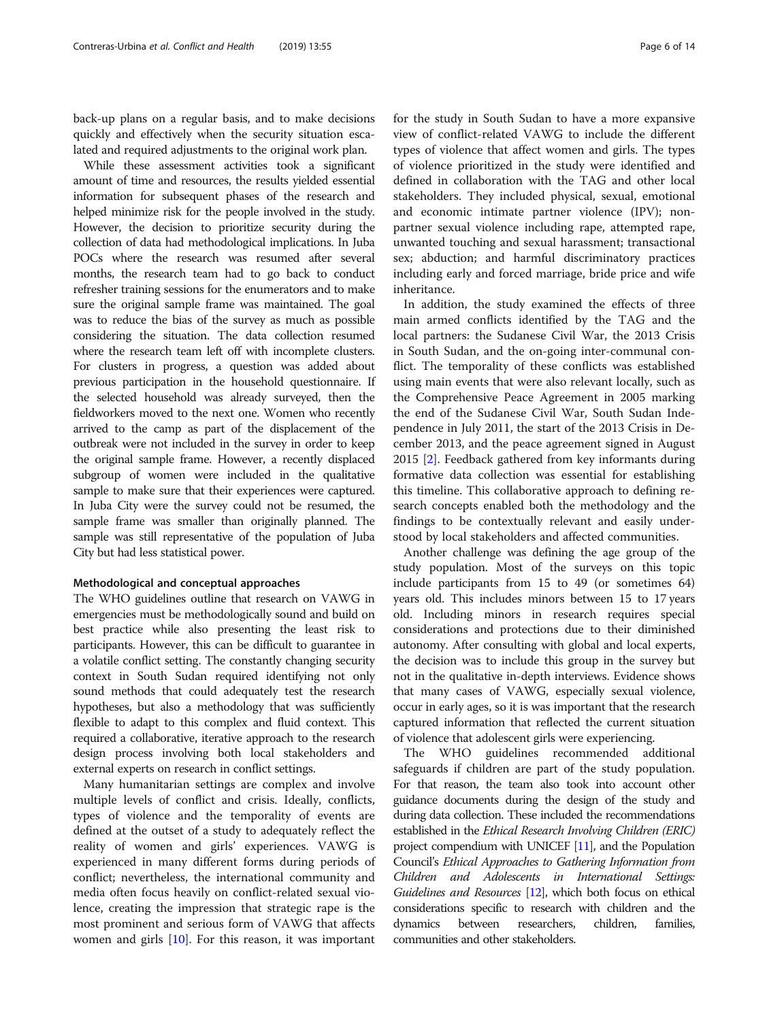back-up plans on a regular basis, and to make decisions quickly and effectively when the security situation escalated and required adjustments to the original work plan.

While these assessment activities took a significant amount of time and resources, the results yielded essential information for subsequent phases of the research and helped minimize risk for the people involved in the study. However, the decision to prioritize security during the collection of data had methodological implications. In Juba POCs where the research was resumed after several months, the research team had to go back to conduct refresher training sessions for the enumerators and to make sure the original sample frame was maintained. The goal was to reduce the bias of the survey as much as possible considering the situation. The data collection resumed where the research team left off with incomplete clusters. For clusters in progress, a question was added about previous participation in the household questionnaire. If the selected household was already surveyed, then the fieldworkers moved to the next one. Women who recently arrived to the camp as part of the displacement of the outbreak were not included in the survey in order to keep the original sample frame. However, a recently displaced subgroup of women were included in the qualitative sample to make sure that their experiences were captured. In Juba City were the survey could not be resumed, the sample frame was smaller than originally planned. The sample was still representative of the population of Juba City but had less statistical power.

# Methodological and conceptual approaches

The WHO guidelines outline that research on VAWG in emergencies must be methodologically sound and build on best practice while also presenting the least risk to participants. However, this can be difficult to guarantee in a volatile conflict setting. The constantly changing security context in South Sudan required identifying not only sound methods that could adequately test the research hypotheses, but also a methodology that was sufficiently flexible to adapt to this complex and fluid context. This required a collaborative, iterative approach to the research design process involving both local stakeholders and external experts on research in conflict settings.

Many humanitarian settings are complex and involve multiple levels of conflict and crisis. Ideally, conflicts, types of violence and the temporality of events are defined at the outset of a study to adequately reflect the reality of women and girls' experiences. VAWG is experienced in many different forms during periods of conflict; nevertheless, the international community and media often focus heavily on conflict-related sexual violence, creating the impression that strategic rape is the most prominent and serious form of VAWG that affects women and girls [\[10](#page-13-0)]. For this reason, it was important for the study in South Sudan to have a more expansive view of conflict-related VAWG to include the different types of violence that affect women and girls. The types of violence prioritized in the study were identified and defined in collaboration with the TAG and other local stakeholders. They included physical, sexual, emotional and economic intimate partner violence (IPV); nonpartner sexual violence including rape, attempted rape, unwanted touching and sexual harassment; transactional sex; abduction; and harmful discriminatory practices including early and forced marriage, bride price and wife inheritance.

In addition, the study examined the effects of three main armed conflicts identified by the TAG and the local partners: the Sudanese Civil War, the 2013 Crisis in South Sudan, and the on-going inter-communal conflict. The temporality of these conflicts was established using main events that were also relevant locally, such as the Comprehensive Peace Agreement in 2005 marking the end of the Sudanese Civil War, South Sudan Independence in July 2011, the start of the 2013 Crisis in December 2013, and the peace agreement signed in August 2015 [[2\]](#page-13-0). Feedback gathered from key informants during formative data collection was essential for establishing this timeline. This collaborative approach to defining research concepts enabled both the methodology and the findings to be contextually relevant and easily understood by local stakeholders and affected communities.

Another challenge was defining the age group of the study population. Most of the surveys on this topic include participants from 15 to 49 (or sometimes 64) years old. This includes minors between 15 to 17 years old. Including minors in research requires special considerations and protections due to their diminished autonomy. After consulting with global and local experts, the decision was to include this group in the survey but not in the qualitative in-depth interviews. Evidence shows that many cases of VAWG, especially sexual violence, occur in early ages, so it is was important that the research captured information that reflected the current situation of violence that adolescent girls were experiencing.

The WHO guidelines recommended additional safeguards if children are part of the study population. For that reason, the team also took into account other guidance documents during the design of the study and during data collection. These included the recommendations established in the Ethical Research Involving Children (ERIC) project compendium with UNICEF [\[11\]](#page-13-0), and the Population Council's Ethical Approaches to Gathering Information from Children and Adolescents in International Settings: Guidelines and Resources [\[12](#page-13-0)], which both focus on ethical considerations specific to research with children and the dynamics between researchers, children, families, communities and other stakeholders.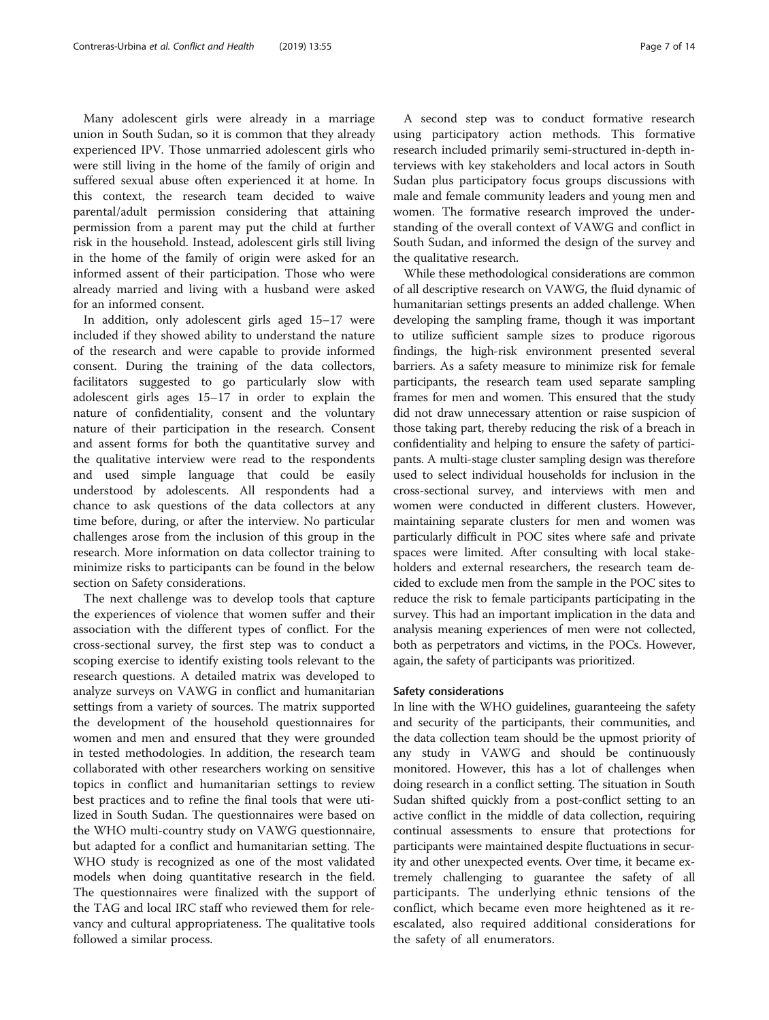Many adolescent girls were already in a marriage union in South Sudan, so it is common that they already experienced IPV. Those unmarried adolescent girls who were still living in the home of the family of origin and suffered sexual abuse often experienced it at home. In this context, the research team decided to waive parental/adult permission considering that attaining permission from a parent may put the child at further risk in the household. Instead, adolescent girls still living in the home of the family of origin were asked for an informed assent of their participation. Those who were already married and living with a husband were asked for an informed consent.

In addition, only adolescent girls aged 15–17 were included if they showed ability to understand the nature of the research and were capable to provide informed consent. During the training of the data collectors, facilitators suggested to go particularly slow with adolescent girls ages 15–17 in order to explain the nature of confidentiality, consent and the voluntary nature of their participation in the research. Consent and assent forms for both the quantitative survey and the qualitative interview were read to the respondents and used simple language that could be easily understood by adolescents. All respondents had a chance to ask questions of the data collectors at any time before, during, or after the interview. No particular challenges arose from the inclusion of this group in the research. More information on data collector training to minimize risks to participants can be found in the below section on Safety considerations.

The next challenge was to develop tools that capture the experiences of violence that women suffer and their association with the different types of conflict. For the cross-sectional survey, the first step was to conduct a scoping exercise to identify existing tools relevant to the research questions. A detailed matrix was developed to analyze surveys on VAWG in conflict and humanitarian settings from a variety of sources. The matrix supported the development of the household questionnaires for women and men and ensured that they were grounded in tested methodologies. In addition, the research team collaborated with other researchers working on sensitive topics in conflict and humanitarian settings to review best practices and to refine the final tools that were utilized in South Sudan. The questionnaires were based on the WHO multi-country study on VAWG questionnaire, but adapted for a conflict and humanitarian setting. The WHO study is recognized as one of the most validated models when doing quantitative research in the field. The questionnaires were finalized with the support of the TAG and local IRC staff who reviewed them for relevancy and cultural appropriateness. The qualitative tools followed a similar process.

A second step was to conduct formative research using participatory action methods. This formative research included primarily semi-structured in-depth interviews with key stakeholders and local actors in South Sudan plus participatory focus groups discussions with male and female community leaders and young men and women. The formative research improved the understanding of the overall context of VAWG and conflict in South Sudan, and informed the design of the survey and the qualitative research.

While these methodological considerations are common of all descriptive research on VAWG, the fluid dynamic of humanitarian settings presents an added challenge. When developing the sampling frame, though it was important to utilize sufficient sample sizes to produce rigorous findings, the high-risk environment presented several barriers. As a safety measure to minimize risk for female participants, the research team used separate sampling frames for men and women. This ensured that the study did not draw unnecessary attention or raise suspicion of those taking part, thereby reducing the risk of a breach in confidentiality and helping to ensure the safety of participants. A multi-stage cluster sampling design was therefore used to select individual households for inclusion in the cross-sectional survey, and interviews with men and women were conducted in different clusters. However, maintaining separate clusters for men and women was particularly difficult in POC sites where safe and private spaces were limited. After consulting with local stakeholders and external researchers, the research team decided to exclude men from the sample in the POC sites to reduce the risk to female participants participating in the survey. This had an important implication in the data and analysis meaning experiences of men were not collected, both as perpetrators and victims, in the POCs. However, again, the safety of participants was prioritized.

## Safety considerations

In line with the WHO guidelines, guaranteeing the safety and security of the participants, their communities, and the data collection team should be the upmost priority of any study in VAWG and should be continuously monitored. However, this has a lot of challenges when doing research in a conflict setting. The situation in South Sudan shifted quickly from a post-conflict setting to an active conflict in the middle of data collection, requiring continual assessments to ensure that protections for participants were maintained despite fluctuations in security and other unexpected events. Over time, it became extremely challenging to guarantee the safety of all participants. The underlying ethnic tensions of the conflict, which became even more heightened as it reescalated, also required additional considerations for the safety of all enumerators.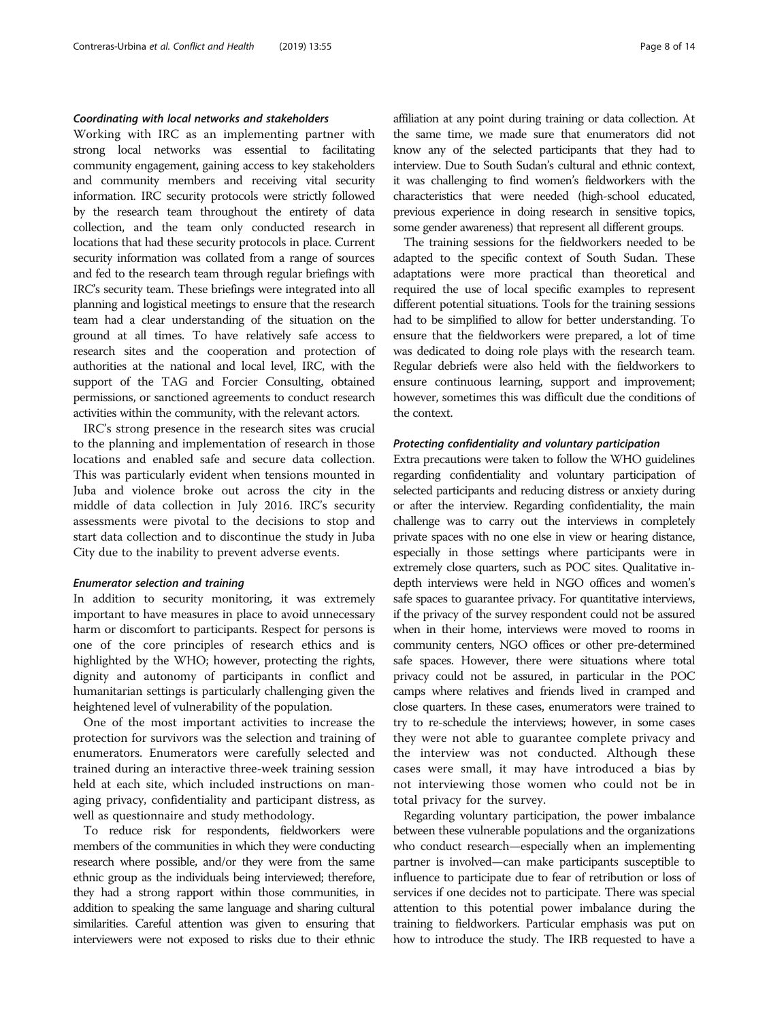# Coordinating with local networks and stakeholders

Working with IRC as an implementing partner with strong local networks was essential to facilitating community engagement, gaining access to key stakeholders and community members and receiving vital security information. IRC security protocols were strictly followed by the research team throughout the entirety of data collection, and the team only conducted research in locations that had these security protocols in place. Current security information was collated from a range of sources and fed to the research team through regular briefings with IRC's security team. These briefings were integrated into all planning and logistical meetings to ensure that the research team had a clear understanding of the situation on the ground at all times. To have relatively safe access to research sites and the cooperation and protection of authorities at the national and local level, IRC, with the support of the TAG and Forcier Consulting, obtained permissions, or sanctioned agreements to conduct research activities within the community, with the relevant actors.

IRC's strong presence in the research sites was crucial to the planning and implementation of research in those locations and enabled safe and secure data collection. This was particularly evident when tensions mounted in Juba and violence broke out across the city in the middle of data collection in July 2016. IRC's security assessments were pivotal to the decisions to stop and start data collection and to discontinue the study in Juba City due to the inability to prevent adverse events.

# Enumerator selection and training

In addition to security monitoring, it was extremely important to have measures in place to avoid unnecessary harm or discomfort to participants. Respect for persons is one of the core principles of research ethics and is highlighted by the WHO; however, protecting the rights, dignity and autonomy of participants in conflict and humanitarian settings is particularly challenging given the heightened level of vulnerability of the population.

One of the most important activities to increase the protection for survivors was the selection and training of enumerators. Enumerators were carefully selected and trained during an interactive three-week training session held at each site, which included instructions on managing privacy, confidentiality and participant distress, as well as questionnaire and study methodology.

To reduce risk for respondents, fieldworkers were members of the communities in which they were conducting research where possible, and/or they were from the same ethnic group as the individuals being interviewed; therefore, they had a strong rapport within those communities, in addition to speaking the same language and sharing cultural similarities. Careful attention was given to ensuring that interviewers were not exposed to risks due to their ethnic affiliation at any point during training or data collection. At the same time, we made sure that enumerators did not know any of the selected participants that they had to interview. Due to South Sudan's cultural and ethnic context, it was challenging to find women's fieldworkers with the characteristics that were needed (high-school educated, previous experience in doing research in sensitive topics, some gender awareness) that represent all different groups.

The training sessions for the fieldworkers needed to be adapted to the specific context of South Sudan. These adaptations were more practical than theoretical and required the use of local specific examples to represent different potential situations. Tools for the training sessions had to be simplified to allow for better understanding. To ensure that the fieldworkers were prepared, a lot of time was dedicated to doing role plays with the research team. Regular debriefs were also held with the fieldworkers to ensure continuous learning, support and improvement; however, sometimes this was difficult due the conditions of the context.

# Protecting confidentiality and voluntary participation

Extra precautions were taken to follow the WHO guidelines regarding confidentiality and voluntary participation of selected participants and reducing distress or anxiety during or after the interview. Regarding confidentiality, the main challenge was to carry out the interviews in completely private spaces with no one else in view or hearing distance, especially in those settings where participants were in extremely close quarters, such as POC sites. Qualitative indepth interviews were held in NGO offices and women's safe spaces to guarantee privacy. For quantitative interviews, if the privacy of the survey respondent could not be assured when in their home, interviews were moved to rooms in community centers, NGO offices or other pre-determined safe spaces. However, there were situations where total privacy could not be assured, in particular in the POC camps where relatives and friends lived in cramped and close quarters. In these cases, enumerators were trained to try to re-schedule the interviews; however, in some cases they were not able to guarantee complete privacy and the interview was not conducted. Although these cases were small, it may have introduced a bias by not interviewing those women who could not be in total privacy for the survey.

Regarding voluntary participation, the power imbalance between these vulnerable populations and the organizations who conduct research—especially when an implementing partner is involved—can make participants susceptible to influence to participate due to fear of retribution or loss of services if one decides not to participate. There was special attention to this potential power imbalance during the training to fieldworkers. Particular emphasis was put on how to introduce the study. The IRB requested to have a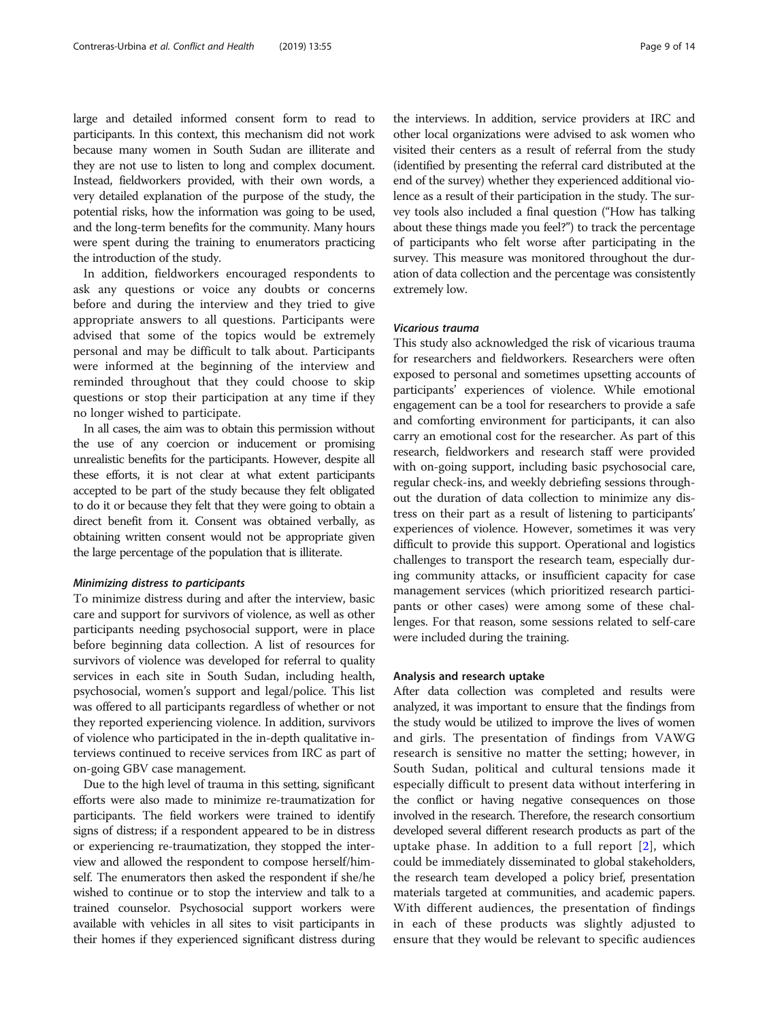large and detailed informed consent form to read to participants. In this context, this mechanism did not work because many women in South Sudan are illiterate and they are not use to listen to long and complex document. Instead, fieldworkers provided, with their own words, a very detailed explanation of the purpose of the study, the potential risks, how the information was going to be used, and the long-term benefits for the community. Many hours were spent during the training to enumerators practicing the introduction of the study.

In addition, fieldworkers encouraged respondents to ask any questions or voice any doubts or concerns before and during the interview and they tried to give appropriate answers to all questions. Participants were advised that some of the topics would be extremely personal and may be difficult to talk about. Participants were informed at the beginning of the interview and reminded throughout that they could choose to skip questions or stop their participation at any time if they no longer wished to participate.

In all cases, the aim was to obtain this permission without the use of any coercion or inducement or promising unrealistic benefits for the participants. However, despite all these efforts, it is not clear at what extent participants accepted to be part of the study because they felt obligated to do it or because they felt that they were going to obtain a direct benefit from it. Consent was obtained verbally, as obtaining written consent would not be appropriate given the large percentage of the population that is illiterate.

## Minimizing distress to participants

To minimize distress during and after the interview, basic care and support for survivors of violence, as well as other participants needing psychosocial support, were in place before beginning data collection. A list of resources for survivors of violence was developed for referral to quality services in each site in South Sudan, including health, psychosocial, women's support and legal/police. This list was offered to all participants regardless of whether or not they reported experiencing violence. In addition, survivors of violence who participated in the in-depth qualitative interviews continued to receive services from IRC as part of on-going GBV case management.

Due to the high level of trauma in this setting, significant efforts were also made to minimize re-traumatization for participants. The field workers were trained to identify signs of distress; if a respondent appeared to be in distress or experiencing re-traumatization, they stopped the interview and allowed the respondent to compose herself/himself. The enumerators then asked the respondent if she/he wished to continue or to stop the interview and talk to a trained counselor. Psychosocial support workers were available with vehicles in all sites to visit participants in their homes if they experienced significant distress during

the interviews. In addition, service providers at IRC and other local organizations were advised to ask women who visited their centers as a result of referral from the study (identified by presenting the referral card distributed at the end of the survey) whether they experienced additional violence as a result of their participation in the study. The survey tools also included a final question ("How has talking about these things made you feel?") to track the percentage of participants who felt worse after participating in the survey. This measure was monitored throughout the duration of data collection and the percentage was consistently extremely low.

# Vicarious trauma

This study also acknowledged the risk of vicarious trauma for researchers and fieldworkers. Researchers were often exposed to personal and sometimes upsetting accounts of participants' experiences of violence. While emotional engagement can be a tool for researchers to provide a safe and comforting environment for participants, it can also carry an emotional cost for the researcher. As part of this research, fieldworkers and research staff were provided with on-going support, including basic psychosocial care, regular check-ins, and weekly debriefing sessions throughout the duration of data collection to minimize any distress on their part as a result of listening to participants' experiences of violence. However, sometimes it was very difficult to provide this support. Operational and logistics challenges to transport the research team, especially during community attacks, or insufficient capacity for case management services (which prioritized research participants or other cases) were among some of these challenges. For that reason, some sessions related to self-care were included during the training.

# Analysis and research uptake

After data collection was completed and results were analyzed, it was important to ensure that the findings from the study would be utilized to improve the lives of women and girls. The presentation of findings from VAWG research is sensitive no matter the setting; however, in South Sudan, political and cultural tensions made it especially difficult to present data without interfering in the conflict or having negative consequences on those involved in the research. Therefore, the research consortium developed several different research products as part of the uptake phase. In addition to a full report [[2](#page-13-0)], which could be immediately disseminated to global stakeholders, the research team developed a policy brief, presentation materials targeted at communities, and academic papers. With different audiences, the presentation of findings in each of these products was slightly adjusted to ensure that they would be relevant to specific audiences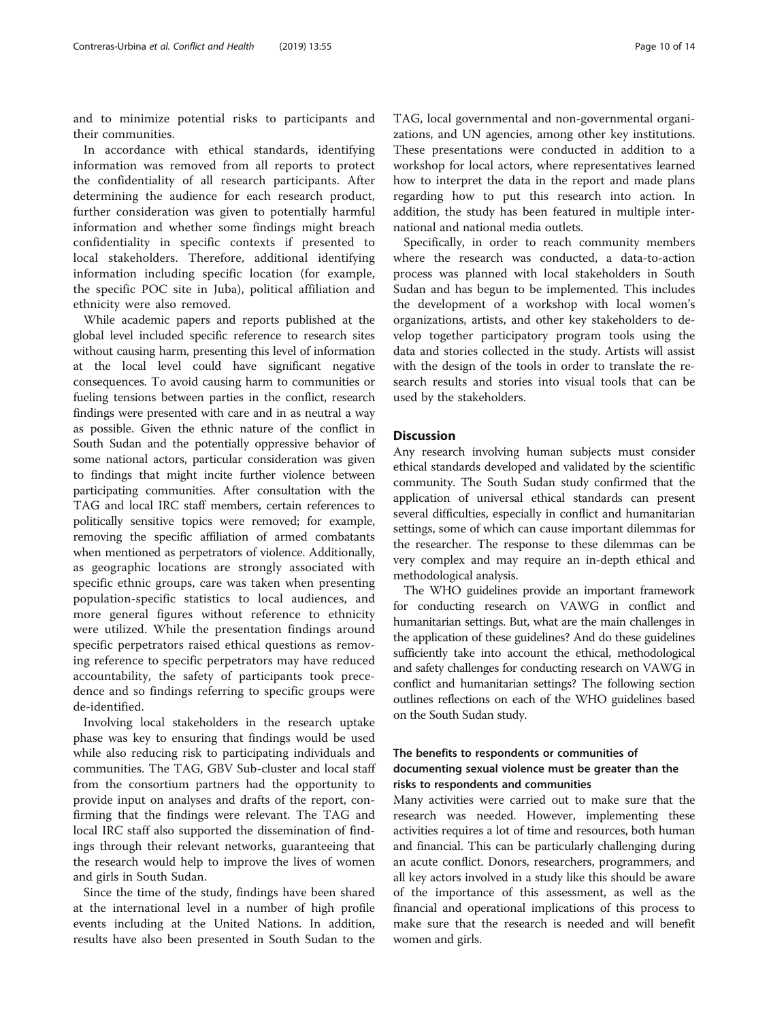and to minimize potential risks to participants and their communities.

In accordance with ethical standards, identifying information was removed from all reports to protect the confidentiality of all research participants. After determining the audience for each research product, further consideration was given to potentially harmful information and whether some findings might breach confidentiality in specific contexts if presented to local stakeholders. Therefore, additional identifying information including specific location (for example, the specific POC site in Juba), political affiliation and ethnicity were also removed.

While academic papers and reports published at the global level included specific reference to research sites without causing harm, presenting this level of information at the local level could have significant negative consequences. To avoid causing harm to communities or fueling tensions between parties in the conflict, research findings were presented with care and in as neutral a way as possible. Given the ethnic nature of the conflict in South Sudan and the potentially oppressive behavior of some national actors, particular consideration was given to findings that might incite further violence between participating communities. After consultation with the TAG and local IRC staff members, certain references to politically sensitive topics were removed; for example, removing the specific affiliation of armed combatants when mentioned as perpetrators of violence. Additionally, as geographic locations are strongly associated with specific ethnic groups, care was taken when presenting population-specific statistics to local audiences, and more general figures without reference to ethnicity were utilized. While the presentation findings around specific perpetrators raised ethical questions as removing reference to specific perpetrators may have reduced accountability, the safety of participants took precedence and so findings referring to specific groups were de-identified.

Involving local stakeholders in the research uptake phase was key to ensuring that findings would be used while also reducing risk to participating individuals and communities. The TAG, GBV Sub-cluster and local staff from the consortium partners had the opportunity to provide input on analyses and drafts of the report, confirming that the findings were relevant. The TAG and local IRC staff also supported the dissemination of findings through their relevant networks, guaranteeing that the research would help to improve the lives of women and girls in South Sudan.

Since the time of the study, findings have been shared at the international level in a number of high profile events including at the United Nations. In addition, results have also been presented in South Sudan to the TAG, local governmental and non-governmental organizations, and UN agencies, among other key institutions. These presentations were conducted in addition to a workshop for local actors, where representatives learned how to interpret the data in the report and made plans regarding how to put this research into action. In addition, the study has been featured in multiple international and national media outlets.

Specifically, in order to reach community members where the research was conducted, a data-to-action process was planned with local stakeholders in South Sudan and has begun to be implemented. This includes the development of a workshop with local women's organizations, artists, and other key stakeholders to develop together participatory program tools using the data and stories collected in the study. Artists will assist with the design of the tools in order to translate the research results and stories into visual tools that can be used by the stakeholders.

# **Discussion**

Any research involving human subjects must consider ethical standards developed and validated by the scientific community. The South Sudan study confirmed that the application of universal ethical standards can present several difficulties, especially in conflict and humanitarian settings, some of which can cause important dilemmas for the researcher. The response to these dilemmas can be very complex and may require an in-depth ethical and methodological analysis.

The WHO guidelines provide an important framework for conducting research on VAWG in conflict and humanitarian settings. But, what are the main challenges in the application of these guidelines? And do these guidelines sufficiently take into account the ethical, methodological and safety challenges for conducting research on VAWG in conflict and humanitarian settings? The following section outlines reflections on each of the WHO guidelines based on the South Sudan study.

# The benefits to respondents or communities of documenting sexual violence must be greater than the risks to respondents and communities

Many activities were carried out to make sure that the research was needed. However, implementing these activities requires a lot of time and resources, both human and financial. This can be particularly challenging during an acute conflict. Donors, researchers, programmers, and all key actors involved in a study like this should be aware of the importance of this assessment, as well as the financial and operational implications of this process to make sure that the research is needed and will benefit women and girls.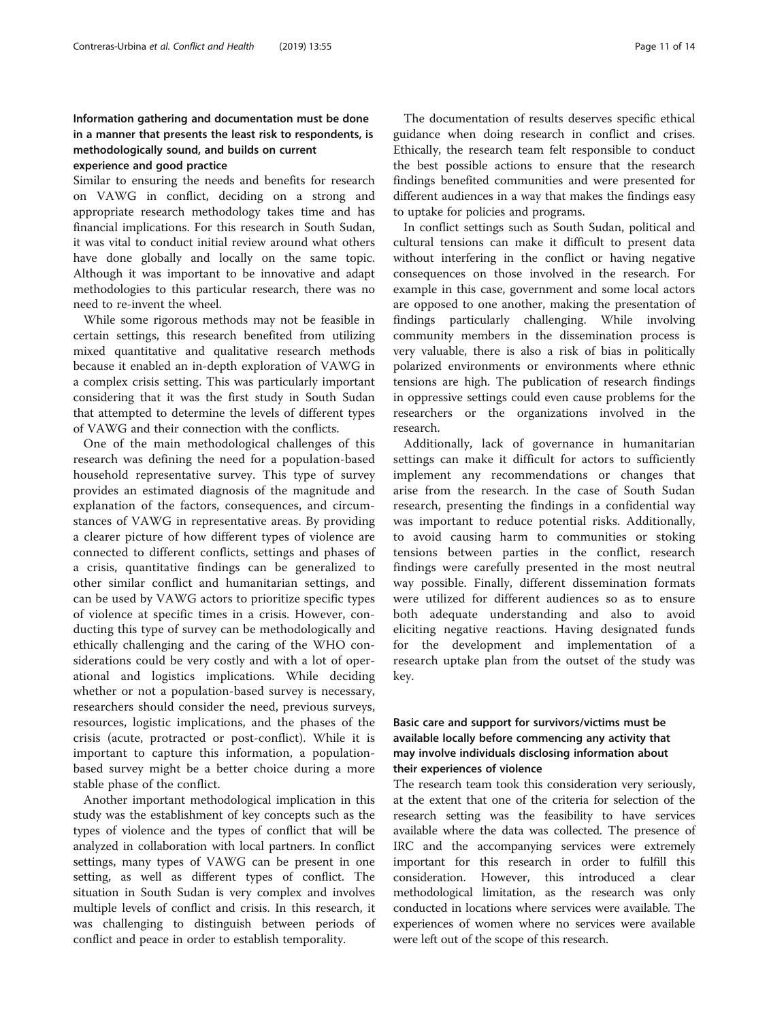# Information gathering and documentation must be done in a manner that presents the least risk to respondents, is methodologically sound, and builds on current

# experience and good practice

Similar to ensuring the needs and benefits for research on VAWG in conflict, deciding on a strong and appropriate research methodology takes time and has financial implications. For this research in South Sudan, it was vital to conduct initial review around what others have done globally and locally on the same topic. Although it was important to be innovative and adapt methodologies to this particular research, there was no need to re-invent the wheel.

While some rigorous methods may not be feasible in certain settings, this research benefited from utilizing mixed quantitative and qualitative research methods because it enabled an in-depth exploration of VAWG in a complex crisis setting. This was particularly important considering that it was the first study in South Sudan that attempted to determine the levels of different types of VAWG and their connection with the conflicts.

One of the main methodological challenges of this research was defining the need for a population-based household representative survey. This type of survey provides an estimated diagnosis of the magnitude and explanation of the factors, consequences, and circumstances of VAWG in representative areas. By providing a clearer picture of how different types of violence are connected to different conflicts, settings and phases of a crisis, quantitative findings can be generalized to other similar conflict and humanitarian settings, and can be used by VAWG actors to prioritize specific types of violence at specific times in a crisis. However, conducting this type of survey can be methodologically and ethically challenging and the caring of the WHO considerations could be very costly and with a lot of operational and logistics implications. While deciding whether or not a population-based survey is necessary, researchers should consider the need, previous surveys, resources, logistic implications, and the phases of the crisis (acute, protracted or post-conflict). While it is important to capture this information, a populationbased survey might be a better choice during a more stable phase of the conflict.

Another important methodological implication in this study was the establishment of key concepts such as the types of violence and the types of conflict that will be analyzed in collaboration with local partners. In conflict settings, many types of VAWG can be present in one setting, as well as different types of conflict. The situation in South Sudan is very complex and involves multiple levels of conflict and crisis. In this research, it was challenging to distinguish between periods of conflict and peace in order to establish temporality.

The documentation of results deserves specific ethical guidance when doing research in conflict and crises. Ethically, the research team felt responsible to conduct the best possible actions to ensure that the research findings benefited communities and were presented for different audiences in a way that makes the findings easy to uptake for policies and programs.

In conflict settings such as South Sudan, political and cultural tensions can make it difficult to present data without interfering in the conflict or having negative consequences on those involved in the research. For example in this case, government and some local actors are opposed to one another, making the presentation of findings particularly challenging. While involving community members in the dissemination process is very valuable, there is also a risk of bias in politically polarized environments or environments where ethnic tensions are high. The publication of research findings in oppressive settings could even cause problems for the researchers or the organizations involved in the research.

Additionally, lack of governance in humanitarian settings can make it difficult for actors to sufficiently implement any recommendations or changes that arise from the research. In the case of South Sudan research, presenting the findings in a confidential way was important to reduce potential risks. Additionally, to avoid causing harm to communities or stoking tensions between parties in the conflict, research findings were carefully presented in the most neutral way possible. Finally, different dissemination formats were utilized for different audiences so as to ensure both adequate understanding and also to avoid eliciting negative reactions. Having designated funds for the development and implementation of a research uptake plan from the outset of the study was key.

# Basic care and support for survivors/victims must be available locally before commencing any activity that may involve individuals disclosing information about their experiences of violence

The research team took this consideration very seriously, at the extent that one of the criteria for selection of the research setting was the feasibility to have services available where the data was collected. The presence of IRC and the accompanying services were extremely important for this research in order to fulfill this consideration. However, this introduced a clear methodological limitation, as the research was only conducted in locations where services were available. The experiences of women where no services were available were left out of the scope of this research.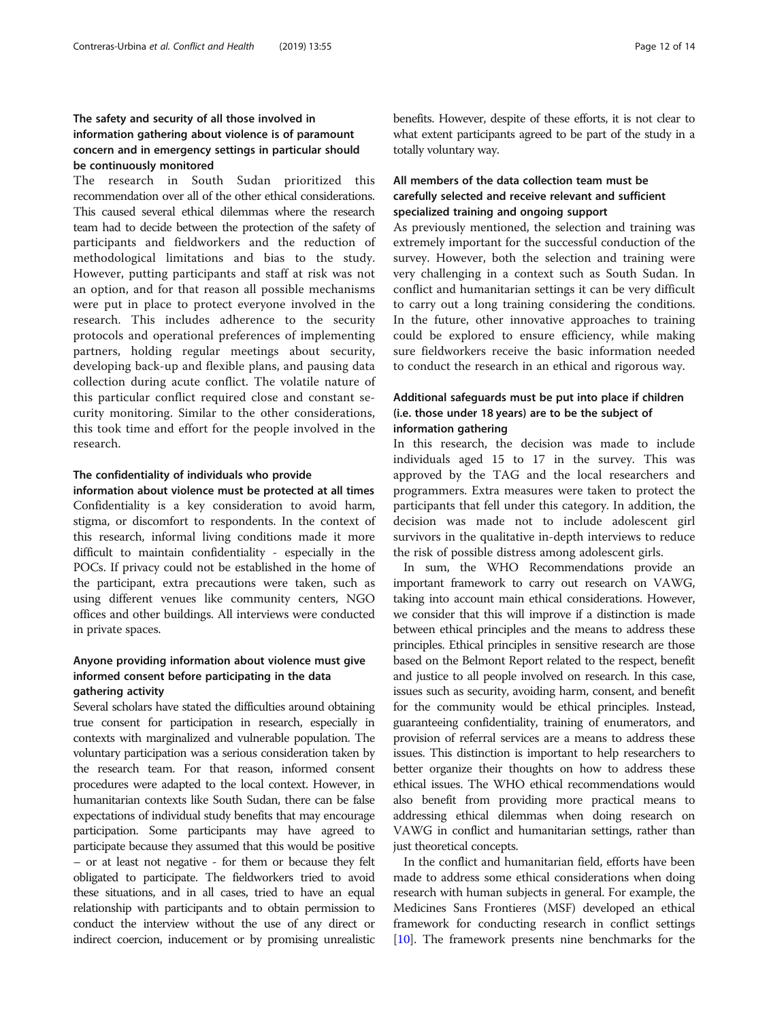# The safety and security of all those involved in information gathering about violence is of paramount concern and in emergency settings in particular should be continuously monitored

The research in South Sudan prioritized this recommendation over all of the other ethical considerations. This caused several ethical dilemmas where the research team had to decide between the protection of the safety of participants and fieldworkers and the reduction of methodological limitations and bias to the study. However, putting participants and staff at risk was not an option, and for that reason all possible mechanisms were put in place to protect everyone involved in the research. This includes adherence to the security protocols and operational preferences of implementing partners, holding regular meetings about security, developing back-up and flexible plans, and pausing data collection during acute conflict. The volatile nature of this particular conflict required close and constant security monitoring. Similar to the other considerations, this took time and effort for the people involved in the research.

# The confidentiality of individuals who provide

information about violence must be protected at all times Confidentiality is a key consideration to avoid harm, stigma, or discomfort to respondents. In the context of this research, informal living conditions made it more difficult to maintain confidentiality - especially in the POCs. If privacy could not be established in the home of the participant, extra precautions were taken, such as using different venues like community centers, NGO offices and other buildings. All interviews were conducted in private spaces.

# Anyone providing information about violence must give informed consent before participating in the data gathering activity

Several scholars have stated the difficulties around obtaining true consent for participation in research, especially in contexts with marginalized and vulnerable population. The voluntary participation was a serious consideration taken by the research team. For that reason, informed consent procedures were adapted to the local context. However, in humanitarian contexts like South Sudan, there can be false expectations of individual study benefits that may encourage participation. Some participants may have agreed to participate because they assumed that this would be positive – or at least not negative - for them or because they felt obligated to participate. The fieldworkers tried to avoid these situations, and in all cases, tried to have an equal relationship with participants and to obtain permission to conduct the interview without the use of any direct or indirect coercion, inducement or by promising unrealistic

benefits. However, despite of these efforts, it is not clear to what extent participants agreed to be part of the study in a totally voluntary way.

# All members of the data collection team must be carefully selected and receive relevant and sufficient specialized training and ongoing support

As previously mentioned, the selection and training was extremely important for the successful conduction of the survey. However, both the selection and training were very challenging in a context such as South Sudan. In conflict and humanitarian settings it can be very difficult to carry out a long training considering the conditions. In the future, other innovative approaches to training could be explored to ensure efficiency, while making sure fieldworkers receive the basic information needed to conduct the research in an ethical and rigorous way.

# Additional safeguards must be put into place if children (i.e. those under 18 years) are to be the subject of information gathering

In this research, the decision was made to include individuals aged 15 to 17 in the survey. This was approved by the TAG and the local researchers and programmers. Extra measures were taken to protect the participants that fell under this category. In addition, the decision was made not to include adolescent girl survivors in the qualitative in-depth interviews to reduce the risk of possible distress among adolescent girls.

In sum, the WHO Recommendations provide an important framework to carry out research on VAWG, taking into account main ethical considerations. However, we consider that this will improve if a distinction is made between ethical principles and the means to address these principles. Ethical principles in sensitive research are those based on the Belmont Report related to the respect, benefit and justice to all people involved on research. In this case, issues such as security, avoiding harm, consent, and benefit for the community would be ethical principles. Instead, guaranteeing confidentiality, training of enumerators, and provision of referral services are a means to address these issues. This distinction is important to help researchers to better organize their thoughts on how to address these ethical issues. The WHO ethical recommendations would also benefit from providing more practical means to addressing ethical dilemmas when doing research on VAWG in conflict and humanitarian settings, rather than just theoretical concepts.

In the conflict and humanitarian field, efforts have been made to address some ethical considerations when doing research with human subjects in general. For example, the Medicines Sans Frontieres (MSF) developed an ethical framework for conducting research in conflict settings [[10](#page-13-0)]. The framework presents nine benchmarks for the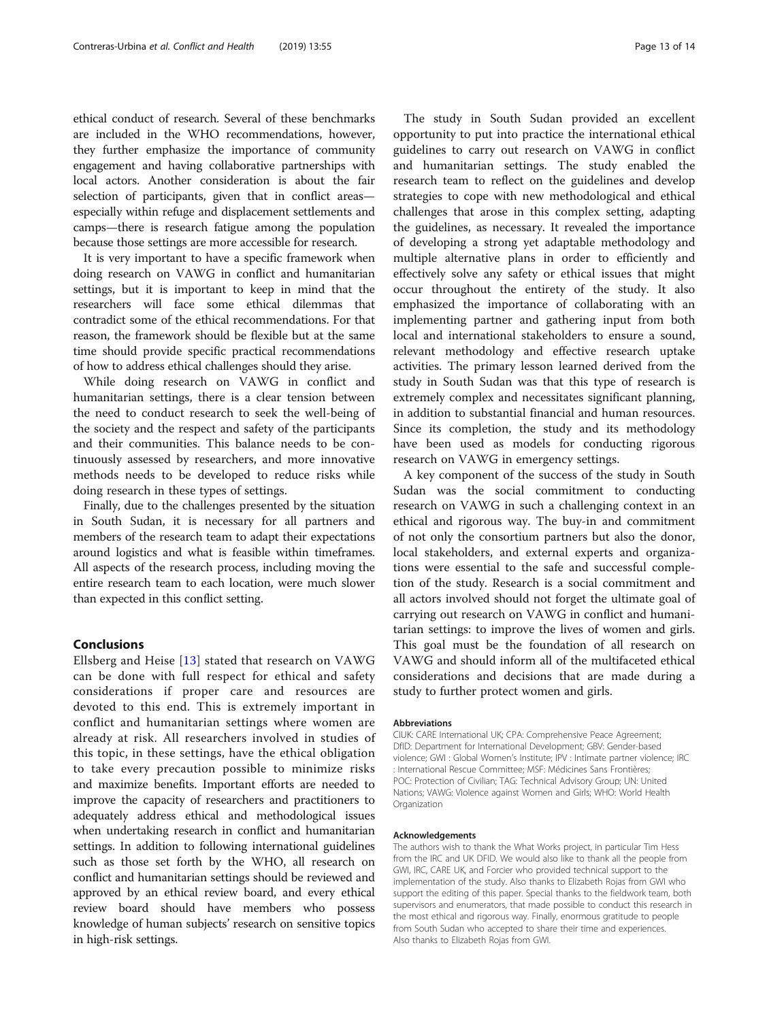ethical conduct of research. Several of these benchmarks are included in the WHO recommendations, however, they further emphasize the importance of community engagement and having collaborative partnerships with local actors. Another consideration is about the fair selection of participants, given that in conflict areas especially within refuge and displacement settlements and camps—there is research fatigue among the population because those settings are more accessible for research.

It is very important to have a specific framework when doing research on VAWG in conflict and humanitarian settings, but it is important to keep in mind that the researchers will face some ethical dilemmas that contradict some of the ethical recommendations. For that reason, the framework should be flexible but at the same time should provide specific practical recommendations of how to address ethical challenges should they arise.

While doing research on VAWG in conflict and humanitarian settings, there is a clear tension between the need to conduct research to seek the well-being of the society and the respect and safety of the participants and their communities. This balance needs to be continuously assessed by researchers, and more innovative methods needs to be developed to reduce risks while doing research in these types of settings.

Finally, due to the challenges presented by the situation in South Sudan, it is necessary for all partners and members of the research team to adapt their expectations around logistics and what is feasible within timeframes. All aspects of the research process, including moving the entire research team to each location, were much slower than expected in this conflict setting.

# Conclusions

Ellsberg and Heise [[13](#page-13-0)] stated that research on VAWG can be done with full respect for ethical and safety considerations if proper care and resources are devoted to this end. This is extremely important in conflict and humanitarian settings where women are already at risk. All researchers involved in studies of this topic, in these settings, have the ethical obligation to take every precaution possible to minimize risks and maximize benefits. Important efforts are needed to improve the capacity of researchers and practitioners to adequately address ethical and methodological issues when undertaking research in conflict and humanitarian settings. In addition to following international guidelines such as those set forth by the WHO, all research on conflict and humanitarian settings should be reviewed and approved by an ethical review board, and every ethical review board should have members who possess knowledge of human subjects' research on sensitive topics in high-risk settings.

The study in South Sudan provided an excellent opportunity to put into practice the international ethical guidelines to carry out research on VAWG in conflict and humanitarian settings. The study enabled the research team to reflect on the guidelines and develop strategies to cope with new methodological and ethical challenges that arose in this complex setting, adapting the guidelines, as necessary. It revealed the importance of developing a strong yet adaptable methodology and multiple alternative plans in order to efficiently and effectively solve any safety or ethical issues that might occur throughout the entirety of the study. It also emphasized the importance of collaborating with an implementing partner and gathering input from both local and international stakeholders to ensure a sound, relevant methodology and effective research uptake activities. The primary lesson learned derived from the study in South Sudan was that this type of research is extremely complex and necessitates significant planning, in addition to substantial financial and human resources. Since its completion, the study and its methodology have been used as models for conducting rigorous research on VAWG in emergency settings.

A key component of the success of the study in South Sudan was the social commitment to conducting research on VAWG in such a challenging context in an ethical and rigorous way. The buy-in and commitment of not only the consortium partners but also the donor, local stakeholders, and external experts and organizations were essential to the safe and successful completion of the study. Research is a social commitment and all actors involved should not forget the ultimate goal of carrying out research on VAWG in conflict and humanitarian settings: to improve the lives of women and girls. This goal must be the foundation of all research on VAWG and should inform all of the multifaceted ethical considerations and decisions that are made during a study to further protect women and girls.

#### Abbreviations

CIUK: CARE International UK; CPA: Comprehensive Peace Agreement; DfID: Department for International Development; GBV: Gender-based violence; GWI : Global Women's Institute; IPV : Intimate partner violence; IRC : International Rescue Committee; MSF: Médicines Sans Frontières; POC: Protection of Civilian; TAG: Technical Advisory Group; UN: United Nations; VAWG: Violence against Women and Girls; WHO: World Health **Organization** 

#### Acknowledgements

The authors wish to thank the What Works project, in particular Tim Hess from the IRC and UK DFID. We would also like to thank all the people from GWI, IRC, CARE UK, and Forcier who provided technical support to the implementation of the study. Also thanks to Elizabeth Rojas from GWI who support the editing of this paper. Special thanks to the fieldwork team, both supervisors and enumerators, that made possible to conduct this research in the most ethical and rigorous way. Finally, enormous gratitude to people from South Sudan who accepted to share their time and experiences. Also thanks to Elizabeth Rojas from GWI.